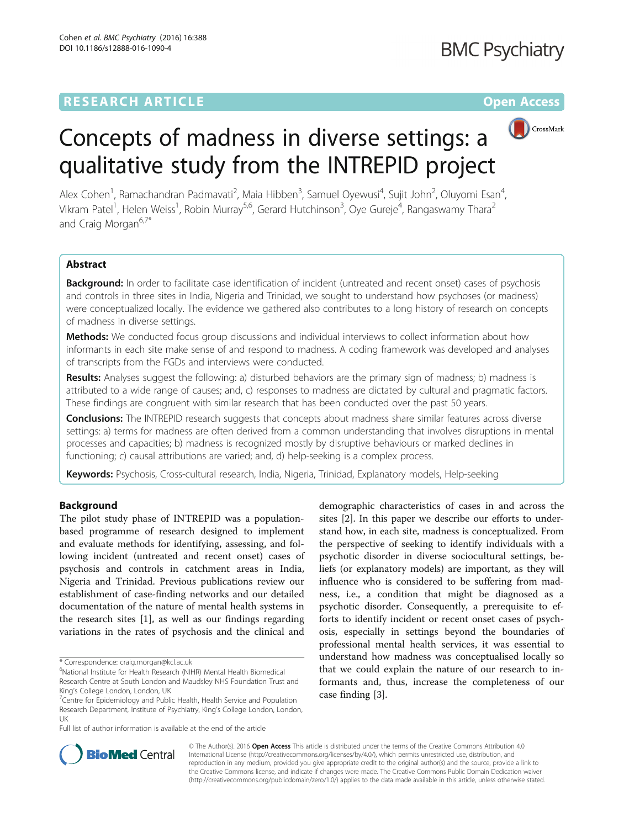# **RESEARCH ARTICLE Example 2014 12:30 The Contract of Contract ACCESS**



# Concepts of madness in diverse settings: a qualitative study from the INTREPID project

Alex Cohen<sup>1</sup>, Ramachandran Padmavati<sup>2</sup>, Maia Hibben<sup>3</sup>, Samuel Oyewusi<sup>4</sup>, Sujit John<sup>2</sup>, Oluyomi Esan<sup>4</sup> , Vikram Patel<sup>1</sup>, Helen Weiss<sup>1</sup>, Robin Murray<sup>5,6</sup>, Gerard Hutchinson<sup>3</sup>, Oye Gureje<sup>4</sup>, Rangaswamy Thara<sup>2</sup> and Craig Morgan<sup>6,7\*</sup>

# Abstract

**Background:** In order to facilitate case identification of incident (untreated and recent onset) cases of psychosis and controls in three sites in India, Nigeria and Trinidad, we sought to understand how psychoses (or madness) were conceptualized locally. The evidence we gathered also contributes to a long history of research on concepts of madness in diverse settings.

Methods: We conducted focus group discussions and individual interviews to collect information about how informants in each site make sense of and respond to madness. A coding framework was developed and analyses of transcripts from the FGDs and interviews were conducted.

Results: Analyses suggest the following: a) disturbed behaviors are the primary sign of madness; b) madness is attributed to a wide range of causes; and, c) responses to madness are dictated by cultural and pragmatic factors. These findings are congruent with similar research that has been conducted over the past 50 years.

**Conclusions:** The INTREPID research suggests that concepts about madness share similar features across diverse settings: a) terms for madness are often derived from a common understanding that involves disruptions in mental processes and capacities; b) madness is recognized mostly by disruptive behaviours or marked declines in functioning; c) causal attributions are varied; and, d) help-seeking is a complex process.

Keywords: Psychosis, Cross-cultural research, India, Nigeria, Trinidad, Explanatory models, Help-seeking

# Background

The pilot study phase of INTREPID was a populationbased programme of research designed to implement and evaluate methods for identifying, assessing, and following incident (untreated and recent onset) cases of psychosis and controls in catchment areas in India, Nigeria and Trinidad. Previous publications review our establishment of case-finding networks and our detailed documentation of the nature of mental health systems in the research sites [[1\]](#page-10-0), as well as our findings regarding variations in the rates of psychosis and the clinical and

\* Correspondence: [craig.morgan@kcl.ac.uk](mailto:craig.morgan@kcl.ac.uk) <sup>6</sup>

National Institute for Health Research (NIHR) Mental Health Biomedical Research Centre at South London and Maudsley NHS Foundation Trust and King's College London, London, UK <sup>7</sup>

Full list of author information is available at the end of the article

demographic characteristics of cases in and across the sites [\[2](#page-11-0)]. In this paper we describe our efforts to understand how, in each site, madness is conceptualized. From the perspective of seeking to identify individuals with a psychotic disorder in diverse sociocultural settings, beliefs (or explanatory models) are important, as they will influence who is considered to be suffering from madness, i.e., a condition that might be diagnosed as a psychotic disorder. Consequently, a prerequisite to efforts to identify incident or recent onset cases of psychosis, especially in settings beyond the boundaries of professional mental health services, it was essential to understand how madness was conceptualised locally so that we could explain the nature of our research to informants and, thus, increase the completeness of our case finding [[3](#page-11-0)].



© The Author(s). 2016 Open Access This article is distributed under the terms of the Creative Commons Attribution 4.0 International License [\(http://creativecommons.org/licenses/by/4.0/](http://creativecommons.org/licenses/by/4.0/)), which permits unrestricted use, distribution, and reproduction in any medium, provided you give appropriate credit to the original author(s) and the source, provide a link to the Creative Commons license, and indicate if changes were made. The Creative Commons Public Domain Dedication waiver [\(http://creativecommons.org/publicdomain/zero/1.0/](http://creativecommons.org/publicdomain/zero/1.0/)) applies to the data made available in this article, unless otherwise stated.

Centre for Epidemiology and Public Health, Health Service and Population Research Department, Institute of Psychiatry, King's College London, London, UK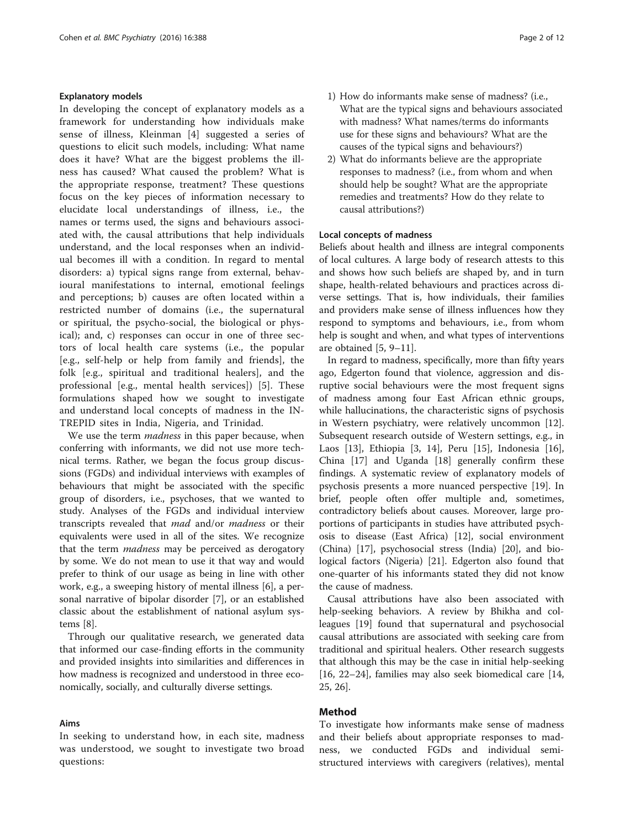#### Explanatory models

In developing the concept of explanatory models as a framework for understanding how individuals make sense of illness, Kleinman [\[4](#page-11-0)] suggested a series of questions to elicit such models, including: What name does it have? What are the biggest problems the illness has caused? What caused the problem? What is the appropriate response, treatment? These questions focus on the key pieces of information necessary to elucidate local understandings of illness, i.e., the names or terms used, the signs and behaviours associated with, the causal attributions that help individuals understand, and the local responses when an individual becomes ill with a condition. In regard to mental disorders: a) typical signs range from external, behavioural manifestations to internal, emotional feelings and perceptions; b) causes are often located within a restricted number of domains (i.e., the supernatural or spiritual, the psycho-social, the biological or physical); and, c) responses can occur in one of three sectors of local health care systems (i.e., the popular [e.g., self-help or help from family and friends], the folk [e.g., spiritual and traditional healers], and the professional [e.g., mental health services]) [[5\]](#page-11-0). These formulations shaped how we sought to investigate and understand local concepts of madness in the IN-TREPID sites in India, Nigeria, and Trinidad.

We use the term *madness* in this paper because, when conferring with informants, we did not use more technical terms. Rather, we began the focus group discussions (FGDs) and individual interviews with examples of behaviours that might be associated with the specific group of disorders, i.e., psychoses, that we wanted to study. Analyses of the FGDs and individual interview transcripts revealed that *mad* and/or *madness* or their equivalents were used in all of the sites. We recognize that the term *madness* may be perceived as derogatory by some. We do not mean to use it that way and would prefer to think of our usage as being in line with other work, e.g., a sweeping history of mental illness [\[6](#page-11-0)], a personal narrative of bipolar disorder [\[7\]](#page-11-0), or an established classic about the establishment of national asylum systems [\[8](#page-11-0)].

Through our qualitative research, we generated data that informed our case-finding efforts in the community and provided insights into similarities and differences in how madness is recognized and understood in three economically, socially, and culturally diverse settings.

# Aims

In seeking to understand how, in each site, madness was understood, we sought to investigate two broad questions:

- 1) How do informants make sense of madness? (i.e., What are the typical signs and behaviours associated with madness? What names/terms do informants use for these signs and behaviours? What are the causes of the typical signs and behaviours?)
- 2) What do informants believe are the appropriate responses to madness? (i.e., from whom and when should help be sought? What are the appropriate remedies and treatments? How do they relate to causal attributions?)

#### Local concepts of madness

Beliefs about health and illness are integral components of local cultures. A large body of research attests to this and shows how such beliefs are shaped by, and in turn shape, health-related behaviours and practices across diverse settings. That is, how individuals, their families and providers make sense of illness influences how they respond to symptoms and behaviours, i.e., from whom help is sought and when, and what types of interventions are obtained [[5, 9](#page-11-0)–[11](#page-11-0)].

In regard to madness, specifically, more than fifty years ago, Edgerton found that violence, aggression and disruptive social behaviours were the most frequent signs of madness among four East African ethnic groups, while hallucinations, the characteristic signs of psychosis in Western psychiatry, were relatively uncommon [\[12](#page-11-0)]. Subsequent research outside of Western settings, e.g., in Laos [\[13](#page-11-0)], Ethiopia [[3, 14](#page-11-0)], Peru [\[15\]](#page-11-0), Indonesia [\[16](#page-11-0)], China [\[17\]](#page-11-0) and Uganda [\[18\]](#page-11-0) generally confirm these findings. A systematic review of explanatory models of psychosis presents a more nuanced perspective [[19](#page-11-0)]. In brief, people often offer multiple and, sometimes, contradictory beliefs about causes. Moreover, large proportions of participants in studies have attributed psychosis to disease (East Africa) [[12\]](#page-11-0), social environment (China) [[17](#page-11-0)], psychosocial stress (India) [\[20](#page-11-0)], and biological factors (Nigeria) [[21\]](#page-11-0). Edgerton also found that one-quarter of his informants stated they did not know the cause of madness.

Causal attributions have also been associated with help-seeking behaviors. A review by Bhikha and colleagues [[19](#page-11-0)] found that supernatural and psychosocial causal attributions are associated with seeking care from traditional and spiritual healers. Other research suggests that although this may be the case in initial help-seeking [[16, 22](#page-11-0)–[24](#page-11-0)], families may also seek biomedical care [[14](#page-11-0), [25, 26](#page-11-0)].

# Method

To investigate how informants make sense of madness and their beliefs about appropriate responses to madness, we conducted FGDs and individual semistructured interviews with caregivers (relatives), mental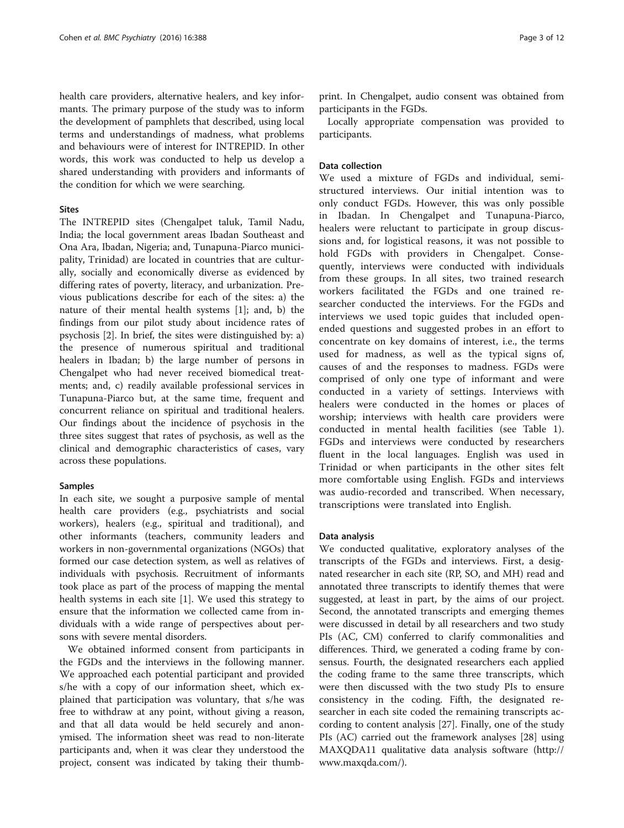health care providers, alternative healers, and key informants. The primary purpose of the study was to inform the development of pamphlets that described, using local terms and understandings of madness, what problems and behaviours were of interest for INTREPID. In other words, this work was conducted to help us develop a shared understanding with providers and informants of the condition for which we were searching.

#### Sites

The INTREPID sites (Chengalpet taluk, Tamil Nadu, India; the local government areas Ibadan Southeast and Ona Ara, Ibadan, Nigeria; and, Tunapuna-Piarco municipality, Trinidad) are located in countries that are culturally, socially and economically diverse as evidenced by differing rates of poverty, literacy, and urbanization. Previous publications describe for each of the sites: a) the nature of their mental health systems [\[1](#page-10-0)]; and, b) the findings from our pilot study about incidence rates of psychosis [\[2](#page-11-0)]. In brief, the sites were distinguished by: a) the presence of numerous spiritual and traditional healers in Ibadan; b) the large number of persons in Chengalpet who had never received biomedical treatments; and, c) readily available professional services in Tunapuna-Piarco but, at the same time, frequent and concurrent reliance on spiritual and traditional healers. Our findings about the incidence of psychosis in the three sites suggest that rates of psychosis, as well as the clinical and demographic characteristics of cases, vary across these populations.

#### Samples

In each site, we sought a purposive sample of mental health care providers (e.g., psychiatrists and social workers), healers (e.g., spiritual and traditional), and other informants (teachers, community leaders and workers in non-governmental organizations (NGOs) that formed our case detection system, as well as relatives of individuals with psychosis. Recruitment of informants took place as part of the process of mapping the mental health systems in each site [[1\]](#page-10-0). We used this strategy to ensure that the information we collected came from individuals with a wide range of perspectives about persons with severe mental disorders.

We obtained informed consent from participants in the FGDs and the interviews in the following manner. We approached each potential participant and provided s/he with a copy of our information sheet, which explained that participation was voluntary, that s/he was free to withdraw at any point, without giving a reason, and that all data would be held securely and anonymised. The information sheet was read to non-literate participants and, when it was clear they understood the project, consent was indicated by taking their thumb-

print. In Chengalpet, audio consent was obtained from participants in the FGDs.

Locally appropriate compensation was provided to participants.

#### Data collection

We used a mixture of FGDs and individual, semistructured interviews. Our initial intention was to only conduct FGDs. However, this was only possible in Ibadan. In Chengalpet and Tunapuna-Piarco, healers were reluctant to participate in group discussions and, for logistical reasons, it was not possible to hold FGDs with providers in Chengalpet. Consequently, interviews were conducted with individuals from these groups. In all sites, two trained research workers facilitated the FGDs and one trained researcher conducted the interviews. For the FGDs and interviews we used topic guides that included openended questions and suggested probes in an effort to concentrate on key domains of interest, i.e., the terms used for madness, as well as the typical signs of, causes of and the responses to madness. FGDs were comprised of only one type of informant and were conducted in a variety of settings. Interviews with healers were conducted in the homes or places of worship; interviews with health care providers were conducted in mental health facilities (see Table [1](#page-3-0)). FGDs and interviews were conducted by researchers fluent in the local languages. English was used in Trinidad or when participants in the other sites felt more comfortable using English. FGDs and interviews was audio-recorded and transcribed. When necessary, transcriptions were translated into English.

#### Data analysis

We conducted qualitative, exploratory analyses of the transcripts of the FGDs and interviews. First, a designated researcher in each site (RP, SO, and MH) read and annotated three transcripts to identify themes that were suggested, at least in part, by the aims of our project. Second, the annotated transcripts and emerging themes were discussed in detail by all researchers and two study PIs (AC, CM) conferred to clarify commonalities and differences. Third, we generated a coding frame by consensus. Fourth, the designated researchers each applied the coding frame to the same three transcripts, which were then discussed with the two study PIs to ensure consistency in the coding. Fifth, the designated researcher in each site coded the remaining transcripts according to content analysis [[27](#page-11-0)]. Finally, one of the study PIs (AC) carried out the framework analyses [[28\]](#page-11-0) using MAXQDA11 qualitative data analysis software [\(http://](http://www.maxqda.com/) [www.maxqda.com/](http://www.maxqda.com/)).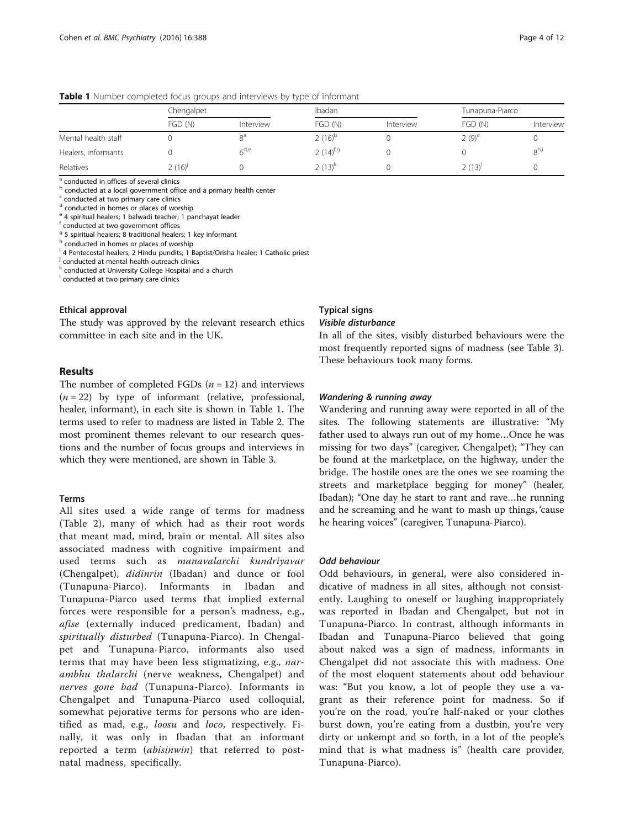|                     | $\tilde{\phantom{a}}$<br>Chengalpet |           | .<br>Ibadan            |           | Tunapuna-Piarco |                  |  |
|---------------------|-------------------------------------|-----------|------------------------|-----------|-----------------|------------------|--|
|                     | FGD (N)                             | Interview | FGD (N)                | Interview | FGD (N)         | Interview        |  |
| Mental health staff |                                     |           | $2(16)^{b}$            |           | $2(9)^{c}$      |                  |  |
| Healers, informants |                                     | $6^{d,e}$ | $2(14)$ <sup>f,g</sup> |           |                 | 8 <sup>h,i</sup> |  |
| Relatives           | 2(16)                               |           | 2 $(13)^k$             |           | $2(13)^{1}$     |                  |  |

<span id="page-3-0"></span>Table 1 Number completed focus groups and interviews by type of informant

 $\frac{a}{a}$  conducted in offices of several clinics

<sup>b</sup> conducted at a local government office and a primary health center

<sup>c</sup> conducted at two primary care clinics

<sup>d</sup> conducted in homes or places of worship

<sup>e</sup> 4 spiritual healers; 1 balwadi teacher; 1 panchayat leader

<sup>f</sup> conducted at two government offices

 $95$  spiritual healers; 8 traditional healers; 1 key informant

h conducted in homes or places of worship

<sup>i</sup> 4 Pentecostal healers; 2 Hindu pundits; 1 Baptist/Orisha healer; 1 Catholic priest

<sup>j</sup> conducted at mental health outreach clinics

conducted at University College Hospital and a church

l conducted at two primary care clinics

#### Ethical approval

The study was approved by the relevant research ethics committee in each site and in the UK.

#### Results

The number of completed FGDs  $(n = 12)$  and interviews  $(n = 22)$  by type of informant (relative, professional, healer, informant), in each site is shown in Table 1. The terms used to refer to madness are listed in Table [2](#page-4-0). The most prominent themes relevant to our research questions and the number of focus groups and interviews in which they were mentioned, are shown in Table [3](#page-5-0).

#### Terms

All sites used a wide range of terms for madness (Table [2](#page-4-0)), many of which had as their root words that meant mad, mind, brain or mental. All sites also associated madness with cognitive impairment and used terms such as manavalarchi kundriyavar (Chengalpet), didinrin (Ibadan) and dunce or fool (Tunapuna-Piarco). Informants in Ibadan and Tunapuna-Piarco used terms that implied external forces were responsible for a person's madness, e.g., afise (externally induced predicament, Ibadan) and spiritually disturbed (Tunapuna-Piarco). In Chengalpet and Tunapuna-Piarco, informants also used terms that may have been less stigmatizing, e.g., narambhu thalarchi (nerve weakness, Chengalpet) and nerves gone bad (Tunapuna-Piarco). Informants in Chengalpet and Tunapuna-Piarco used colloquial, somewhat pejorative terms for persons who are identified as mad, e.g., loosu and loco, respectively. Finally, it was only in Ibadan that an informant reported a term *(abisinwin)* that referred to postnatal madness, specifically.

# Typical signs

# Visible disturbance

In all of the sites, visibly disturbed behaviours were the most frequently reported signs of madness (see Table [3](#page-5-0)). These behaviours took many forms.

#### Wandering & running away

Wandering and running away were reported in all of the sites. The following statements are illustrative: "My father used to always run out of my home…Once he was missing for two days" (caregiver, Chengalpet); "They can be found at the marketplace, on the highway, under the bridge. The hostile ones are the ones we see roaming the streets and marketplace begging for money" (healer, Ibadan); "One day he start to rant and rave…he running and he screaming and he want to mash up things, 'cause he hearing voices" (caregiver, Tunapuna-Piarco).

#### Odd behaviour

Odd behaviours, in general, were also considered indicative of madness in all sites, although not consistently. Laughing to oneself or laughing inappropriately was reported in Ibadan and Chengalpet, but not in Tunapuna-Piarco. In contrast, although informants in Ibadan and Tunapuna-Piarco believed that going about naked was a sign of madness, informants in Chengalpet did not associate this with madness. One of the most eloquent statements about odd behaviour was: "But you know, a lot of people they use a vagrant as their reference point for madness. So if you're on the road, you're half-naked or your clothes burst down, you're eating from a dustbin, you're very dirty or unkempt and so forth, in a lot of the people's mind that is what madness is" (health care provider, Tunapuna-Piarco).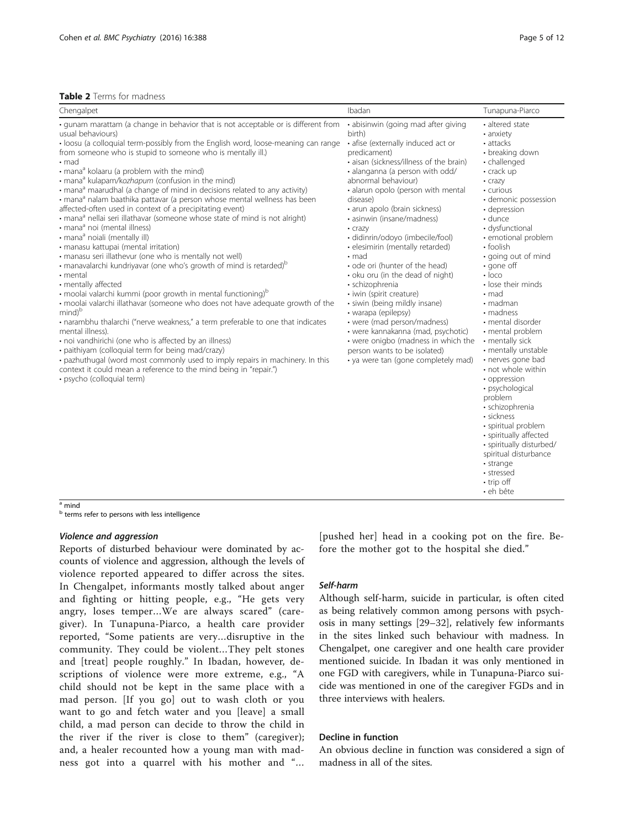#### <span id="page-4-0"></span>Table 2 Terms for madness

| Chengalpet                                                                                                                                                                                                                                                                                                                                                                                                                                                                                                                                                                                                                                                                                                                                                                                                                                                                                                                                                                                                                                                                                                                                                                                                                                                                                                                                                                                                                                                                                                                                                                                                                                                  | Ibadan                                                                                                                                                                                                                                                                                                                                                                                                                                                                                                                                                                                                                                                                                                                                                                                      | Tunapuna-Piarco                                                                                                                                                                                                                                                                                                                                                                                                                                                                                                                                                                                                                                                                                                                |
|-------------------------------------------------------------------------------------------------------------------------------------------------------------------------------------------------------------------------------------------------------------------------------------------------------------------------------------------------------------------------------------------------------------------------------------------------------------------------------------------------------------------------------------------------------------------------------------------------------------------------------------------------------------------------------------------------------------------------------------------------------------------------------------------------------------------------------------------------------------------------------------------------------------------------------------------------------------------------------------------------------------------------------------------------------------------------------------------------------------------------------------------------------------------------------------------------------------------------------------------------------------------------------------------------------------------------------------------------------------------------------------------------------------------------------------------------------------------------------------------------------------------------------------------------------------------------------------------------------------------------------------------------------------|---------------------------------------------------------------------------------------------------------------------------------------------------------------------------------------------------------------------------------------------------------------------------------------------------------------------------------------------------------------------------------------------------------------------------------------------------------------------------------------------------------------------------------------------------------------------------------------------------------------------------------------------------------------------------------------------------------------------------------------------------------------------------------------------|--------------------------------------------------------------------------------------------------------------------------------------------------------------------------------------------------------------------------------------------------------------------------------------------------------------------------------------------------------------------------------------------------------------------------------------------------------------------------------------------------------------------------------------------------------------------------------------------------------------------------------------------------------------------------------------------------------------------------------|
| · gunam marattam (a change in behavior that is not acceptable or is different from<br>usual behaviours)<br>· loosu (a colloquial term-possibly from the English word, loose-meaning can range<br>from someone who is stupid to someone who is mentally ill.)<br>$\cdot$ mad<br>• mana <sup>a</sup> kolaaru (a problem with the mind)<br>• mana <sup>a</sup> kulapam/kozhapum (confusion in the mind)<br>• mana <sup>a</sup> maarudhal (a change of mind in decisions related to any activity)<br>• mana <sup>a</sup> nalam baathika pattavar (a person whose mental wellness has been<br>affected-often used in context of a precipitating event)<br>• mana <sup>a</sup> nellai seri illathavar (someone whose state of mind is not alright)<br>· mana <sup>a</sup> noi (mental illness)<br>· mana <sup>a</sup> noiali (mentally ill)<br>· manasu kattupai (mental irritation)<br>· manasu seri illathevur (one who is mentally not well)<br>• manavalarchi kundriyavar (one who's growth of mind is retarded) <sup>b</sup><br>• mental<br>• mentally affected<br>• moolai valarchi kummi (poor growth in mental functioning) <sup>b</sup><br>· moolai valarchi illathavar (someone who does not have adequate growth of the<br>mind) <sup>b</sup><br>· narambhu thalarchi ("nerve weakness," a term preferable to one that indicates<br>mental illness).<br>· noi vandhirichi (one who is affected by an illness)<br>· paithiyam (colloquial term for being mad/crazy)<br>· pazhuthugal (word most commonly used to imply repairs in machinery. In this<br>context it could mean a reference to the mind being in "repair.")<br>· psycho (colloquial term) | · abisinwin (going mad after giving<br>birth)<br>· afise (externally induced act or<br>predicament)<br>· aisan (sickness/illness of the brain)<br>· alanganna (a person with odd/<br>abnormal behaviour)<br>· alarun opolo (person with mental<br>disease)<br>· arun apolo (brain sickness)<br>· asinwin (insane/madness)<br>· crazy<br>· didinrin/odoyo (imbecile/fool)<br>· elesimirin (mentally retarded)<br>$\cdot$ mad<br>• ode ori (hunter of the head)<br>• oku oru (in the dead of night)<br>· schizophrenia<br>· iwin (spirit creature)<br>· siwin (being mildly insane)<br>• warapa (epilepsy)<br>• were (mad person/madness)<br>• were kannakanna (mad, psychotic)<br>• were onigbo (madness in which the<br>person wants to be isolated)<br>• ya were tan (gone completely mad) | · altered state<br>• anxiety<br>· attacks<br>• breaking down<br>• challenged<br>• crack up<br>· crazy<br>• curious<br>· demonic possession<br>· depression<br>• dunce<br>· dysfunctional<br>· emotional problem<br>• foolish<br>· going out of mind<br>• gone off<br>$\cdot$ loco<br>• lose their minds<br>$\cdot$ mad<br>$\cdot$ madman<br>• madness<br>· mental disorder<br>· mental problem<br>• mentally sick<br>• mentally unstable<br>· nerves gone bad<br>• not whole within<br>• oppression<br>· psychological<br>problem<br>· schizophrenia<br>· sickness<br>· spiritual problem<br>· spiritually affected<br>· spiritually disturbed/<br>spiritual disturbance<br>· strange<br>• stressed<br>• trip off<br>· eh bête |

<sup>b</sup> terms refer to persons with less intelligence

#### Violence and aggression

Reports of disturbed behaviour were dominated by accounts of violence and aggression, although the levels of violence reported appeared to differ across the sites. In Chengalpet, informants mostly talked about anger and fighting or hitting people, e.g., "He gets very angry, loses temper…We are always scared" (caregiver). In Tunapuna-Piarco, a health care provider reported, "Some patients are very…disruptive in the community. They could be violent…They pelt stones and [treat] people roughly." In Ibadan, however, descriptions of violence were more extreme, e.g., "A child should not be kept in the same place with a mad person. [If you go] out to wash cloth or you want to go and fetch water and you [leave] a small child, a mad person can decide to throw the child in the river if the river is close to them" (caregiver); and, a healer recounted how a young man with madness got into a quarrel with his mother and "…

[pushed her] head in a cooking pot on the fire. Before the mother got to the hospital she died."

### Self-harm

Although self-harm, suicide in particular, is often cited as being relatively common among persons with psychosis in many settings [\[29](#page-11-0)–[32\]](#page-11-0), relatively few informants in the sites linked such behaviour with madness. In Chengalpet, one caregiver and one health care provider mentioned suicide. In Ibadan it was only mentioned in one FGD with caregivers, while in Tunapuna-Piarco suicide was mentioned in one of the caregiver FGDs and in three interviews with healers.

# Decline in function

An obvious decline in function was considered a sign of madness in all of the sites.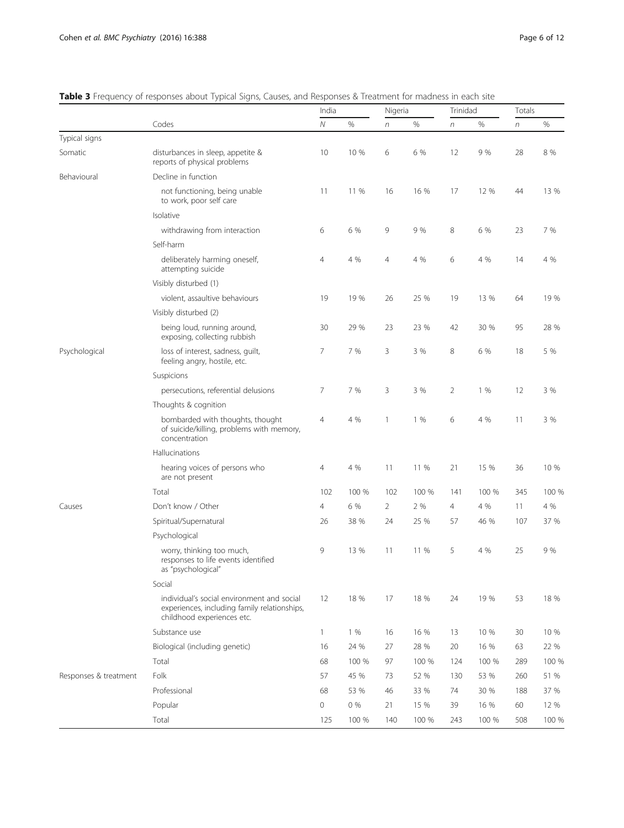# <span id="page-5-0"></span>Table 3 Frequency of responses about Typical Signs, Causes, and Responses & Treatment for madness in each site

|                       |                                                                                                                          | India          |       | Nigeria        |       | Trinidad       |       | Totals     |       |
|-----------------------|--------------------------------------------------------------------------------------------------------------------------|----------------|-------|----------------|-------|----------------|-------|------------|-------|
|                       | Codes                                                                                                                    | $\overline{N}$ | $\%$  | $\sqrt{n}$     | $\%$  | $\sqrt{n}$     | %     | $\sqrt{n}$ | %     |
| Typical signs         |                                                                                                                          |                |       |                |       |                |       |            |       |
| Somatic               | disturbances in sleep, appetite &<br>reports of physical problems                                                        | 10             | 10 %  | 6              | 6 %   | 12             | 9 %   | 28         | 8 %   |
| Behavioural           | Decline in function                                                                                                      |                |       |                |       |                |       |            |       |
|                       | not functioning, being unable<br>to work, poor self care                                                                 | 11             | 11 %  | 16             | 16 %  | 17             | 12 %  | 44         | 13 %  |
|                       | Isolative                                                                                                                |                |       |                |       |                |       |            |       |
|                       | withdrawing from interaction                                                                                             | 6              | 6 %   | 9              | 9 %   | 8              | 6 %   | 23         | 7 %   |
|                       | Self-harm                                                                                                                |                |       |                |       |                |       |            |       |
|                       | deliberately harming oneself,<br>attempting suicide                                                                      | $\overline{4}$ | 4 %   | $\overline{4}$ | 4 %   | 6              | 4 %   | 14         | 4 %   |
|                       | Visibly disturbed (1)                                                                                                    |                |       |                |       |                |       |            |       |
|                       | violent, assaultive behaviours                                                                                           | 19             | 19 %  | 26             | 25 %  | 19             | 13 %  | 64         | 19 %  |
|                       | Visibly disturbed (2)                                                                                                    |                |       |                |       |                |       |            |       |
|                       | being loud, running around,<br>exposing, collecting rubbish                                                              | 30             | 29 %  | 23             | 23 %  | 42             | 30 %  | 95         | 28 %  |
| Psychological         | loss of interest, sadness, guilt,<br>feeling angry, hostile, etc.                                                        | 7              | 7 %   | 3              | 3 %   | 8              | 6 %   | 18         | 5 %   |
|                       | Suspicions                                                                                                               |                |       |                |       |                |       |            |       |
|                       | persecutions, referential delusions                                                                                      | 7              | 7 %   | 3              | 3 %   | $\overline{2}$ | 1%    | 12         | 3 %   |
|                       | Thoughts & cognition                                                                                                     |                |       |                |       |                |       |            |       |
|                       | bombarded with thoughts, thought<br>of suicide/killing, problems with memory,<br>concentration                           | $\overline{4}$ | 4 %   | $\mathbf{1}$   | 1%    | 6              | 4 %   | 11         | 3 %   |
|                       | Hallucinations                                                                                                           |                |       |                |       |                |       |            |       |
|                       | hearing voices of persons who<br>are not present                                                                         | 4              | 4 %   | 11             | 11 %  | 21             | 15 %  | 36         | 10 %  |
|                       | Total                                                                                                                    | 102            | 100 % | 102            | 100 % | 141            | 100 % | 345        | 100 % |
| Causes                | Don't know / Other                                                                                                       | 4              | 6 %   | 2              | 2 %   | 4              | 4 %   | 11         | 4 %   |
|                       | Spiritual/Supernatural                                                                                                   | 26             | 38 %  | 24             | 25 %  | 57             | 46 %  | 107        | 37 %  |
|                       | Psychological                                                                                                            |                |       |                |       |                |       |            |       |
|                       | worry, thinking too much,<br>responses to life events identified<br>as "psychological"                                   | 9              | 13 %  | 11             | 11 %  | 5              | 4 %   | 25         | 9 %   |
|                       | Social                                                                                                                   |                |       |                |       |                |       |            |       |
|                       | individual's social environment and social<br>experiences, including family relationships,<br>childhood experiences etc. | 12             | 18 %  | 17             | 18 %  | 24             | 19 %  | 53         | 18 %  |
|                       | Substance use                                                                                                            | $\mathbf{1}$   | 1 %   | 16             | 16 %  | 13             | 10 %  | 30         | 10 %  |
|                       | Biological (including genetic)                                                                                           | 16             | 24 %  | 27             | 28 %  | 20             | 16 %  | 63         | 22 %  |
|                       | Total                                                                                                                    | 68             | 100 % | 97             | 100 % | 124            | 100 % | 289        | 100 % |
| Responses & treatment | Folk                                                                                                                     | 57             | 45 %  | 73             | 52 %  | 130            | 53 %  | 260        | 51 %  |
|                       | Professional                                                                                                             | 68             | 53 %  | 46             | 33 %  | 74             | 30 %  | 188        | 37 %  |
|                       | Popular                                                                                                                  | 0              | 0%    | 21             | 15 %  | 39             | 16 %  | 60         | 12 %  |
|                       | Total                                                                                                                    | 125            | 100 % | 140            | 100 % | 243            | 100 % | 508        | 100 % |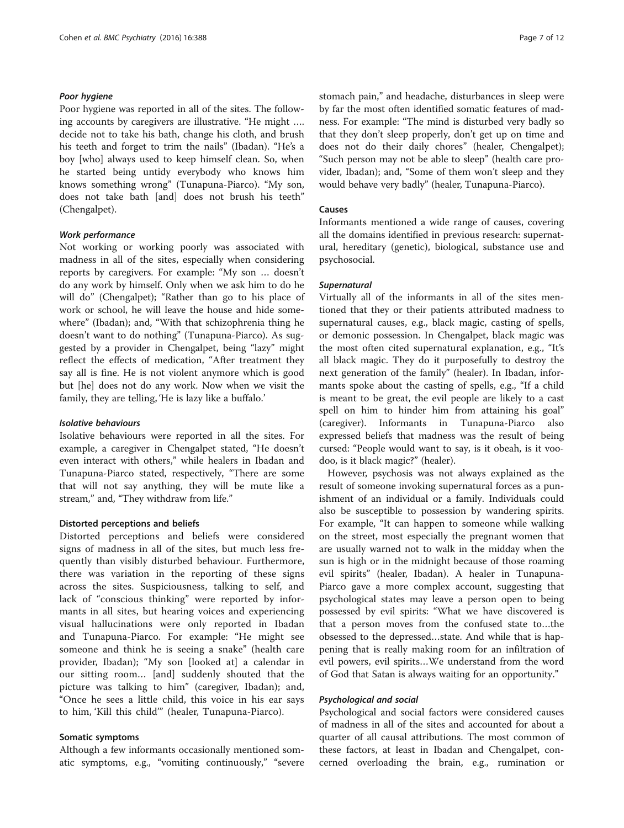### Poor hygiene

Poor hygiene was reported in all of the sites. The following accounts by caregivers are illustrative. "He might …. decide not to take his bath, change his cloth, and brush his teeth and forget to trim the nails" (Ibadan). "He's a boy [who] always used to keep himself clean. So, when he started being untidy everybody who knows him knows something wrong" (Tunapuna-Piarco). "My son, does not take bath [and] does not brush his teeth" (Chengalpet).

#### Work performance

Not working or working poorly was associated with madness in all of the sites, especially when considering reports by caregivers. For example: "My son … doesn't do any work by himself. Only when we ask him to do he will do" (Chengalpet); "Rather than go to his place of work or school, he will leave the house and hide somewhere" (Ibadan); and, "With that schizophrenia thing he doesn't want to do nothing" (Tunapuna-Piarco). As suggested by a provider in Chengalpet, being "lazy" might reflect the effects of medication, "After treatment they say all is fine. He is not violent anymore which is good but [he] does not do any work. Now when we visit the family, they are telling, 'He is lazy like a buffalo.'

#### Isolative behaviours

Isolative behaviours were reported in all the sites. For example, a caregiver in Chengalpet stated, "He doesn't even interact with others," while healers in Ibadan and Tunapuna-Piarco stated, respectively, "There are some that will not say anything, they will be mute like a stream," and, "They withdraw from life."

#### Distorted perceptions and beliefs

Distorted perceptions and beliefs were considered signs of madness in all of the sites, but much less frequently than visibly disturbed behaviour. Furthermore, there was variation in the reporting of these signs across the sites. Suspiciousness, talking to self, and lack of "conscious thinking" were reported by informants in all sites, but hearing voices and experiencing visual hallucinations were only reported in Ibadan and Tunapuna-Piarco. For example: "He might see someone and think he is seeing a snake" (health care provider, Ibadan); "My son [looked at] a calendar in our sitting room… [and] suddenly shouted that the picture was talking to him" (caregiver, Ibadan); and, "Once he sees a little child, this voice in his ear says to him, 'Kill this child'" (healer, Tunapuna-Piarco).

#### Somatic symptoms

Although a few informants occasionally mentioned somatic symptoms, e.g., "vomiting continuously," "severe stomach pain," and headache, disturbances in sleep were by far the most often identified somatic features of madness. For example: "The mind is disturbed very badly so that they don't sleep properly, don't get up on time and does not do their daily chores" (healer, Chengalpet); "Such person may not be able to sleep" (health care provider, Ibadan); and, "Some of them won't sleep and they would behave very badly" (healer, Tunapuna-Piarco).

#### Causes

Informants mentioned a wide range of causes, covering all the domains identified in previous research: supernatural, hereditary (genetic), biological, substance use and psychosocial.

#### Supernatural

Virtually all of the informants in all of the sites mentioned that they or their patients attributed madness to supernatural causes, e.g., black magic, casting of spells, or demonic possession. In Chengalpet, black magic was the most often cited supernatural explanation, e.g., "It's all black magic. They do it purposefully to destroy the next generation of the family" (healer). In Ibadan, informants spoke about the casting of spells, e.g., "If a child is meant to be great, the evil people are likely to a cast spell on him to hinder him from attaining his goal" (caregiver). Informants in Tunapuna-Piarco also expressed beliefs that madness was the result of being cursed: "People would want to say, is it obeah, is it voodoo, is it black magic?" (healer).

However, psychosis was not always explained as the result of someone invoking supernatural forces as a punishment of an individual or a family. Individuals could also be susceptible to possession by wandering spirits. For example, "It can happen to someone while walking on the street, most especially the pregnant women that are usually warned not to walk in the midday when the sun is high or in the midnight because of those roaming evil spirits" (healer, Ibadan). A healer in Tunapuna-Piarco gave a more complex account, suggesting that psychological states may leave a person open to being possessed by evil spirits: "What we have discovered is that a person moves from the confused state to…the obsessed to the depressed…state. And while that is happening that is really making room for an infiltration of evil powers, evil spirits…We understand from the word of God that Satan is always waiting for an opportunity."

#### Psychological and social

Psychological and social factors were considered causes of madness in all of the sites and accounted for about a quarter of all causal attributions. The most common of these factors, at least in Ibadan and Chengalpet, concerned overloading the brain, e.g., rumination or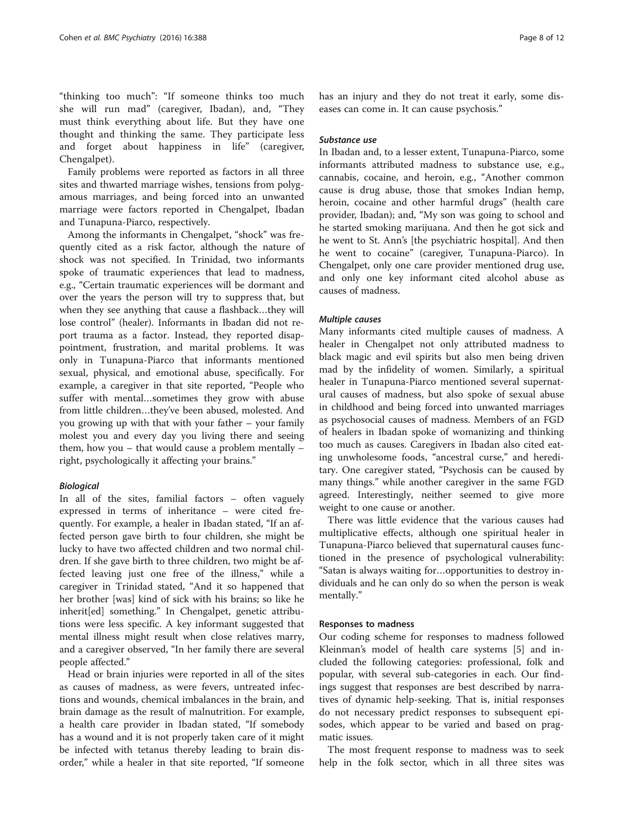"thinking too much": "If someone thinks too much she will run mad" (caregiver, Ibadan), and, "They must think everything about life. But they have one thought and thinking the same. They participate less and forget about happiness in life" (caregiver, Chengalpet).

Family problems were reported as factors in all three sites and thwarted marriage wishes, tensions from polygamous marriages, and being forced into an unwanted marriage were factors reported in Chengalpet, Ibadan and Tunapuna-Piarco, respectively.

Among the informants in Chengalpet, "shock" was frequently cited as a risk factor, although the nature of shock was not specified. In Trinidad, two informants spoke of traumatic experiences that lead to madness, e.g., "Certain traumatic experiences will be dormant and over the years the person will try to suppress that, but when they see anything that cause a flashback…they will lose control" (healer). Informants in Ibadan did not report trauma as a factor. Instead, they reported disappointment, frustration, and marital problems. It was only in Tunapuna-Piarco that informants mentioned sexual, physical, and emotional abuse, specifically. For example, a caregiver in that site reported, "People who suffer with mental…sometimes they grow with abuse from little children…they've been abused, molested. And you growing up with that with your father – your family molest you and every day you living there and seeing them, how you – that would cause a problem mentally – right, psychologically it affecting your brains."

#### Biological

In all of the sites, familial factors – often vaguely expressed in terms of inheritance – were cited frequently. For example, a healer in Ibadan stated, "If an affected person gave birth to four children, she might be lucky to have two affected children and two normal children. If she gave birth to three children, two might be affected leaving just one free of the illness," while a caregiver in Trinidad stated, "And it so happened that her brother [was] kind of sick with his brains; so like he inherit[ed] something." In Chengalpet, genetic attributions were less specific. A key informant suggested that mental illness might result when close relatives marry, and a caregiver observed, "In her family there are several people affected."

Head or brain injuries were reported in all of the sites as causes of madness, as were fevers, untreated infections and wounds, chemical imbalances in the brain, and brain damage as the result of malnutrition. For example, a health care provider in Ibadan stated, "If somebody has a wound and it is not properly taken care of it might be infected with tetanus thereby leading to brain disorder," while a healer in that site reported, "If someone has an injury and they do not treat it early, some diseases can come in. It can cause psychosis."

#### Substance use

In Ibadan and, to a lesser extent, Tunapuna-Piarco, some informants attributed madness to substance use, e.g., cannabis, cocaine, and heroin, e.g., "Another common cause is drug abuse, those that smokes Indian hemp, heroin, cocaine and other harmful drugs" (health care provider, Ibadan); and, "My son was going to school and he started smoking marijuana. And then he got sick and he went to St. Ann's [the psychiatric hospital]. And then he went to cocaine" (caregiver, Tunapuna-Piarco). In Chengalpet, only one care provider mentioned drug use, and only one key informant cited alcohol abuse as causes of madness.

#### Multiple causes

Many informants cited multiple causes of madness. A healer in Chengalpet not only attributed madness to black magic and evil spirits but also men being driven mad by the infidelity of women. Similarly, a spiritual healer in Tunapuna-Piarco mentioned several supernatural causes of madness, but also spoke of sexual abuse in childhood and being forced into unwanted marriages as psychosocial causes of madness. Members of an FGD of healers in Ibadan spoke of womanizing and thinking too much as causes. Caregivers in Ibadan also cited eating unwholesome foods, "ancestral curse," and hereditary. One caregiver stated, "Psychosis can be caused by many things." while another caregiver in the same FGD agreed. Interestingly, neither seemed to give more weight to one cause or another.

There was little evidence that the various causes had multiplicative effects, although one spiritual healer in Tunapuna-Piarco believed that supernatural causes functioned in the presence of psychological vulnerability: "Satan is always waiting for…opportunities to destroy individuals and he can only do so when the person is weak mentally."

#### Responses to madness

Our coding scheme for responses to madness followed Kleinman's model of health care systems [[5\]](#page-11-0) and included the following categories: professional, folk and popular, with several sub-categories in each. Our findings suggest that responses are best described by narratives of dynamic help-seeking. That is, initial responses do not necessary predict responses to subsequent episodes, which appear to be varied and based on pragmatic issues.

The most frequent response to madness was to seek help in the folk sector, which in all three sites was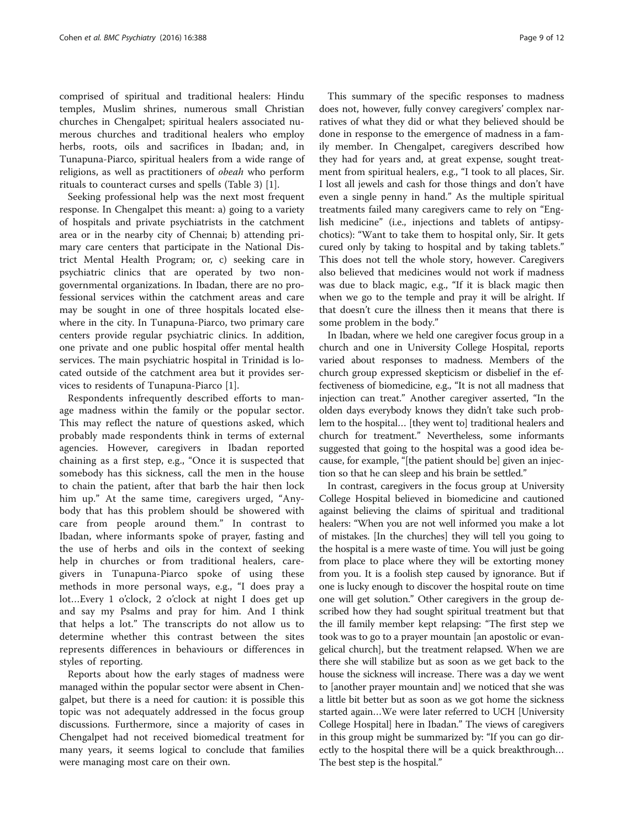comprised of spiritual and traditional healers: Hindu temples, Muslim shrines, numerous small Christian churches in Chengalpet; spiritual healers associated numerous churches and traditional healers who employ herbs, roots, oils and sacrifices in Ibadan; and, in Tunapuna-Piarco, spiritual healers from a wide range of religions, as well as practitioners of obeah who perform rituals to counteract curses and spells (Table [3](#page-5-0)) [[1\]](#page-10-0).

Seeking professional help was the next most frequent response. In Chengalpet this meant: a) going to a variety of hospitals and private psychiatrists in the catchment area or in the nearby city of Chennai; b) attending primary care centers that participate in the National District Mental Health Program; or, c) seeking care in psychiatric clinics that are operated by two nongovernmental organizations. In Ibadan, there are no professional services within the catchment areas and care may be sought in one of three hospitals located elsewhere in the city. In Tunapuna-Piarco, two primary care centers provide regular psychiatric clinics. In addition, one private and one public hospital offer mental health services. The main psychiatric hospital in Trinidad is located outside of the catchment area but it provides services to residents of Tunapuna-Piarco [\[1](#page-10-0)].

Respondents infrequently described efforts to manage madness within the family or the popular sector. This may reflect the nature of questions asked, which probably made respondents think in terms of external agencies. However, caregivers in Ibadan reported chaining as a first step, e.g., "Once it is suspected that somebody has this sickness, call the men in the house to chain the patient, after that barb the hair then lock him up." At the same time, caregivers urged, "Anybody that has this problem should be showered with care from people around them." In contrast to Ibadan, where informants spoke of prayer, fasting and the use of herbs and oils in the context of seeking help in churches or from traditional healers, caregivers in Tunapuna-Piarco spoke of using these methods in more personal ways, e.g., "I does pray a lot…Every 1 o'clock, 2 o'clock at night I does get up and say my Psalms and pray for him. And I think that helps a lot." The transcripts do not allow us to determine whether this contrast between the sites represents differences in behaviours or differences in styles of reporting.

Reports about how the early stages of madness were managed within the popular sector were absent in Chengalpet, but there is a need for caution: it is possible this topic was not adequately addressed in the focus group discussions. Furthermore, since a majority of cases in Chengalpet had not received biomedical treatment for many years, it seems logical to conclude that families were managing most care on their own.

This summary of the specific responses to madness does not, however, fully convey caregivers' complex narratives of what they did or what they believed should be done in response to the emergence of madness in a family member. In Chengalpet, caregivers described how they had for years and, at great expense, sought treatment from spiritual healers, e.g., "I took to all places, Sir. I lost all jewels and cash for those things and don't have even a single penny in hand." As the multiple spiritual treatments failed many caregivers came to rely on "English medicine" (i.e., injections and tablets of antipsychotics): "Want to take them to hospital only, Sir. It gets cured only by taking to hospital and by taking tablets." This does not tell the whole story, however. Caregivers also believed that medicines would not work if madness was due to black magic, e.g., "If it is black magic then when we go to the temple and pray it will be alright. If that doesn't cure the illness then it means that there is some problem in the body."

In Ibadan, where we held one caregiver focus group in a church and one in University College Hospital, reports varied about responses to madness. Members of the church group expressed skepticism or disbelief in the effectiveness of biomedicine, e.g., "It is not all madness that injection can treat." Another caregiver asserted, "In the olden days everybody knows they didn't take such problem to the hospital… [they went to] traditional healers and church for treatment." Nevertheless, some informants suggested that going to the hospital was a good idea because, for example, "[the patient should be] given an injection so that he can sleep and his brain be settled."

In contrast, caregivers in the focus group at University College Hospital believed in biomedicine and cautioned against believing the claims of spiritual and traditional healers: "When you are not well informed you make a lot of mistakes. [In the churches] they will tell you going to the hospital is a mere waste of time. You will just be going from place to place where they will be extorting money from you. It is a foolish step caused by ignorance. But if one is lucky enough to discover the hospital route on time one will get solution." Other caregivers in the group described how they had sought spiritual treatment but that the ill family member kept relapsing: "The first step we took was to go to a prayer mountain [an apostolic or evangelical church], but the treatment relapsed. When we are there she will stabilize but as soon as we get back to the house the sickness will increase. There was a day we went to [another prayer mountain and] we noticed that she was a little bit better but as soon as we got home the sickness started again…We were later referred to UCH [University College Hospital] here in Ibadan." The views of caregivers in this group might be summarized by: "If you can go directly to the hospital there will be a quick breakthrough… The best step is the hospital."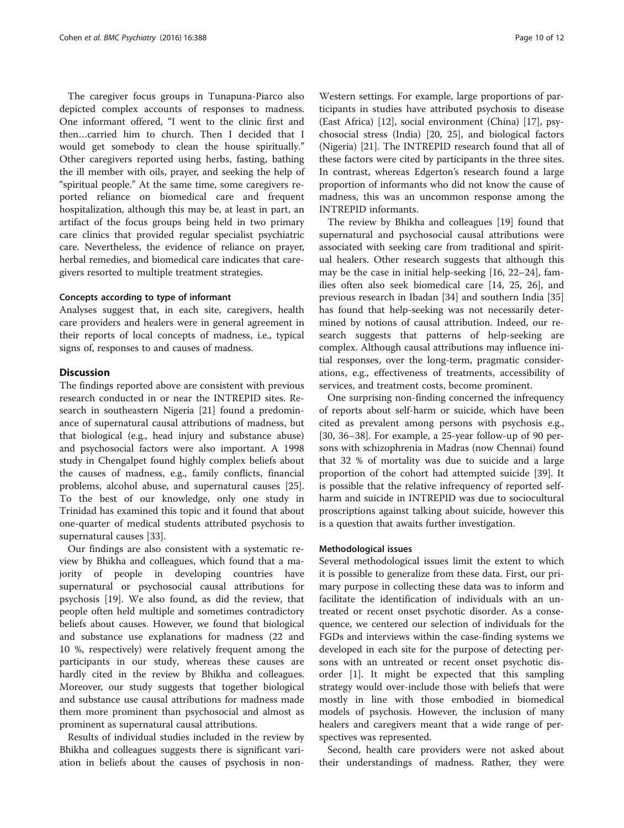The caregiver focus groups in Tunapuna-Piarco also depicted complex accounts of responses to madness. One informant offered, "I went to the clinic first and then…carried him to church. Then I decided that I would get somebody to clean the house spiritually." Other caregivers reported using herbs, fasting, bathing the ill member with oils, prayer, and seeking the help of "spiritual people." At the same time, some caregivers reported reliance on biomedical care and frequent hospitalization, although this may be, at least in part, an artifact of the focus groups being held in two primary care clinics that provided regular specialist psychiatric care. Nevertheless, the evidence of reliance on prayer, herbal remedies, and biomedical care indicates that caregivers resorted to multiple treatment strategies.

#### Concepts according to type of informant

Analyses suggest that, in each site, caregivers, health care providers and healers were in general agreement in their reports of local concepts of madness, i.e., typical signs of, responses to and causes of madness.

#### **Discussion**

The findings reported above are consistent with previous research conducted in or near the INTREPID sites. Research in southeastern Nigeria [[21\]](#page-11-0) found a predominance of supernatural causal attributions of madness, but that biological (e.g., head injury and substance abuse) and psychosocial factors were also important. A 1998 study in Chengalpet found highly complex beliefs about the causes of madness, e.g., family conflicts, financial problems, alcohol abuse, and supernatural causes [\[25](#page-11-0)]. To the best of our knowledge, only one study in Trinidad has examined this topic and it found that about one-quarter of medical students attributed psychosis to supernatural causes [\[33\]](#page-11-0).

Our findings are also consistent with a systematic review by Bhikha and colleagues, which found that a majority of people in developing countries have supernatural or psychosocial causal attributions for psychosis [[19\]](#page-11-0). We also found, as did the review, that people often held multiple and sometimes contradictory beliefs about causes. However, we found that biological and substance use explanations for madness (22 and 10 %, respectively) were relatively frequent among the participants in our study, whereas these causes are hardly cited in the review by Bhikha and colleagues. Moreover, our study suggests that together biological and substance use causal attributions for madness made them more prominent than psychosocial and almost as prominent as supernatural causal attributions.

Results of individual studies included in the review by Bhikha and colleagues suggests there is significant variation in beliefs about the causes of psychosis in non-

Western settings. For example, large proportions of participants in studies have attributed psychosis to disease (East Africa) [[12](#page-11-0)], social environment (China) [[17\]](#page-11-0), psychosocial stress (India) [\[20, 25\]](#page-11-0), and biological factors (Nigeria) [\[21](#page-11-0)]. The INTREPID research found that all of these factors were cited by participants in the three sites. In contrast, whereas Edgerton's research found a large proportion of informants who did not know the cause of madness, this was an uncommon response among the INTREPID informants.

The review by Bhikha and colleagues [\[19](#page-11-0)] found that supernatural and psychosocial causal attributions were associated with seeking care from traditional and spiritual healers. Other research suggests that although this may be the case in initial help-seeking [\[16, 22](#page-11-0)–[24\]](#page-11-0), families often also seek biomedical care [\[14](#page-11-0), [25](#page-11-0), [26](#page-11-0)], and previous research in Ibadan [[34\]](#page-11-0) and southern India [[35](#page-11-0)] has found that help-seeking was not necessarily determined by notions of causal attribution. Indeed, our research suggests that patterns of help-seeking are complex. Although causal attributions may influence initial responses, over the long-term, pragmatic considerations, e.g., effectiveness of treatments, accessibility of services, and treatment costs, become prominent.

One surprising non-finding concerned the infrequency of reports about self-harm or suicide, which have been cited as prevalent among persons with psychosis e.g., [[30, 36](#page-11-0)–[38\]](#page-11-0). For example, a 25-year follow-up of 90 persons with schizophrenia in Madras (now Chennai) found that 32 % of mortality was due to suicide and a large proportion of the cohort had attempted suicide [[39\]](#page-11-0). It is possible that the relative infrequency of reported selfharm and suicide in INTREPID was due to sociocultural proscriptions against talking about suicide, however this is a question that awaits further investigation.

#### Methodological issues

Several methodological issues limit the extent to which it is possible to generalize from these data. First, our primary purpose in collecting these data was to inform and facilitate the identification of individuals with an untreated or recent onset psychotic disorder. As a consequence, we centered our selection of individuals for the FGDs and interviews within the case-finding systems we developed in each site for the purpose of detecting persons with an untreated or recent onset psychotic disorder [[1\]](#page-10-0). It might be expected that this sampling strategy would over-include those with beliefs that were mostly in line with those embodied in biomedical models of psychosis. However, the inclusion of many healers and caregivers meant that a wide range of perspectives was represented.

Second, health care providers were not asked about their understandings of madness. Rather, they were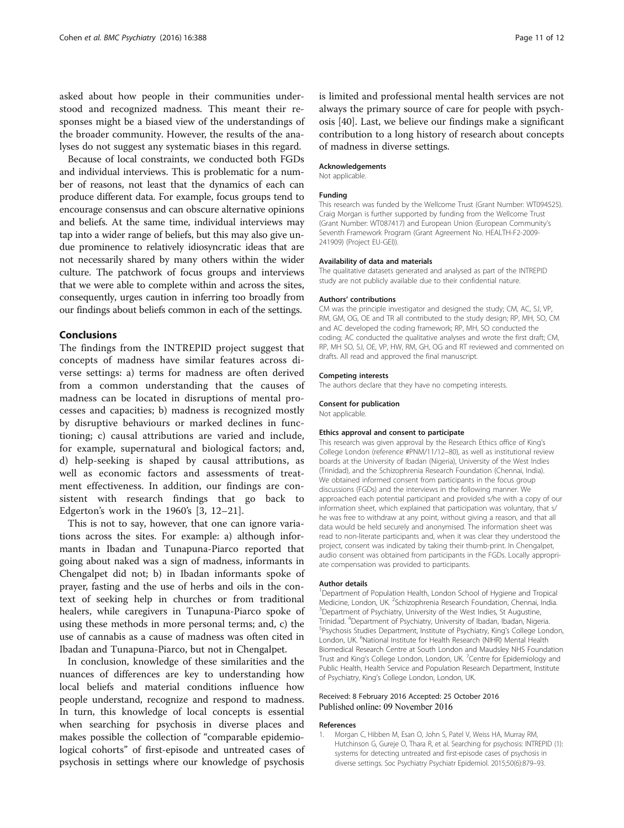<span id="page-10-0"></span>asked about how people in their communities understood and recognized madness. This meant their responses might be a biased view of the understandings of the broader community. However, the results of the analyses do not suggest any systematic biases in this regard.

Because of local constraints, we conducted both FGDs and individual interviews. This is problematic for a number of reasons, not least that the dynamics of each can produce different data. For example, focus groups tend to encourage consensus and can obscure alternative opinions and beliefs. At the same time, individual interviews may tap into a wider range of beliefs, but this may also give undue prominence to relatively idiosyncratic ideas that are not necessarily shared by many others within the wider culture. The patchwork of focus groups and interviews that we were able to complete within and across the sites, consequently, urges caution in inferring too broadly from our findings about beliefs common in each of the settings.

#### Conclusions

The findings from the INTREPID project suggest that concepts of madness have similar features across diverse settings: a) terms for madness are often derived from a common understanding that the causes of madness can be located in disruptions of mental processes and capacities; b) madness is recognized mostly by disruptive behaviours or marked declines in functioning; c) causal attributions are varied and include, for example, supernatural and biological factors; and, d) help-seeking is shaped by causal attributions, as well as economic factors and assessments of treatment effectiveness. In addition, our findings are consistent with research findings that go back to Edgerton's work in the 1960's [\[3](#page-11-0), [12](#page-11-0)–[21](#page-11-0)].

This is not to say, however, that one can ignore variations across the sites. For example: a) although informants in Ibadan and Tunapuna-Piarco reported that going about naked was a sign of madness, informants in Chengalpet did not; b) in Ibadan informants spoke of prayer, fasting and the use of herbs and oils in the context of seeking help in churches or from traditional healers, while caregivers in Tunapuna-Piarco spoke of using these methods in more personal terms; and, c) the use of cannabis as a cause of madness was often cited in Ibadan and Tunapuna-Piarco, but not in Chengalpet.

In conclusion, knowledge of these similarities and the nuances of differences are key to understanding how local beliefs and material conditions influence how people understand, recognize and respond to madness. In turn, this knowledge of local concepts is essential when searching for psychosis in diverse places and makes possible the collection of "comparable epidemiological cohorts" of first-episode and untreated cases of psychosis in settings where our knowledge of psychosis is limited and professional mental health services are not always the primary source of care for people with psychosis [\[40\]](#page-11-0). Last, we believe our findings make a significant contribution to a long history of research about concepts of madness in diverse settings.

#### Acknowledgements

Not applicable.

#### Funding

This research was funded by the Wellcome Trust (Grant Number: WT094525). Craig Morgan is further supported by funding from the Wellcome Trust (Grant Number: WT087417) and European Union (European Community's Seventh Framework Program (Grant Agreement No. HEALTH-F2-2009- 241909) (Project EU-GEI)).

#### Availability of data and materials

The qualitative datasets generated and analysed as part of the INTREPID study are not publicly available due to their confidential nature.

#### Authors' contributions

CM was the principle investigator and designed the study; CM, AC, SJ, VP, RM, GM, OG, OE and TR all contributed to the study design; RP, MH, SO, CM and AC developed the coding framework; RP, MH, SO conducted the coding; AC conducted the qualitative analyses and wrote the first draft; CM, RP, MH SO, SJ, OE, VP, HW, RM, GH, OG and RT reviewed and commented on drafts. All read and approved the final manuscript.

#### Competing interests

The authors declare that they have no competing interests.

#### Consent for publication

Not applicable.

#### Ethics approval and consent to participate

This research was given approval by the Research Ethics office of King's College London (reference #PNM/11/12–80), as well as institutional review boards at the University of Ibadan (Nigeria), University of the West Indies (Trinidad), and the Schizophrenia Research Foundation (Chennai, India). We obtained informed consent from participants in the focus group discussions (FGDs) and the interviews in the following manner. We approached each potential participant and provided s/he with a copy of our information sheet, which explained that participation was voluntary, that s/ he was free to withdraw at any point, without giving a reason, and that all data would be held securely and anonymised. The information sheet was read to non-literate participants and, when it was clear they understood the project, consent was indicated by taking their thumb-print. In Chengalpet, audio consent was obtained from participants in the FGDs. Locally appropriate compensation was provided to participants.

#### Author details

<sup>1</sup>Department of Population Health, London School of Hygiene and Tropical Medicine, London, UK. <sup>2</sup>Schizophrenia Research Foundation, Chennai, India.<br><sup>3</sup>Department of Psychiatry, University of the West Indias. St. Augustine. <sup>3</sup>Department of Psychiatry, University of the West Indies, St Augustine, Trinidad. <sup>4</sup> Department of Psychiatry, University of Ibadan, Ibadan, Nigeria.<br><sup>5</sup> Bavebosis Studies Department Institute of Bavebiatry, King's College Lop Psychosis Studies Department, Institute of Psychiatry, King's College London, London, UK. <sup>6</sup>National Institute for Health Research (NIHR) Mental Health Biomedical Research Centre at South London and Maudsley NHS Foundation Trust and King's College London, London, UK. <sup>7</sup>Centre for Epidemiology and Public Health, Health Service and Population Research Department, Institute of Psychiatry, King's College London, London, UK.

#### Received: 8 February 2016 Accepted: 25 October 2016 Published online: 09 November 2016

#### References

1. Morgan C, Hibben M, Esan O, John S, Patel V, Weiss HA, Murray RM, Hutchinson G, Gureje O, Thara R, et al. Searching for psychosis: INTREPID (1): systems for detecting untreated and first-episode cases of psychosis in diverse settings. Soc Psychiatry Psychiatr Epidemiol. 2015;50(6):879–93.